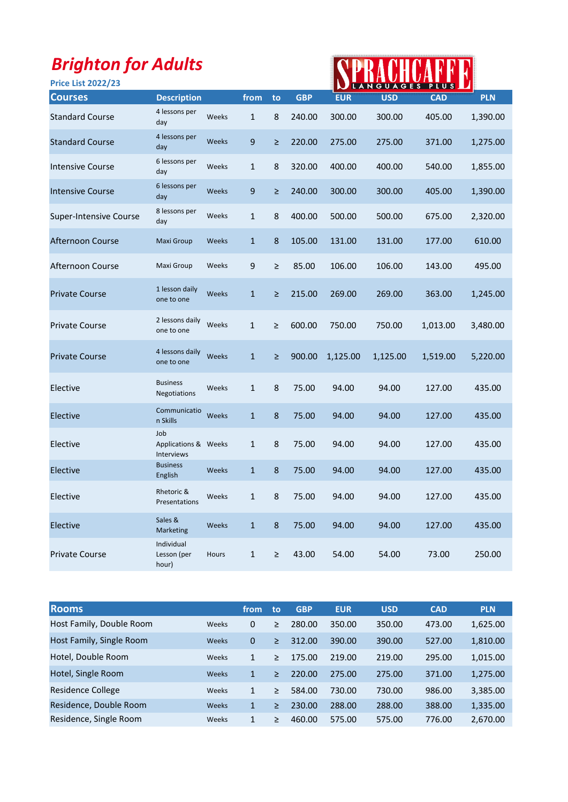| <b>Brighton for Adults</b><br><b>Price List 2022/23</b> |                                                  |              |              |         |            |            |            | PLUS       |            |
|---------------------------------------------------------|--------------------------------------------------|--------------|--------------|---------|------------|------------|------------|------------|------------|
| <b>Courses</b>                                          | <b>Description</b>                               |              | from         | to      | <b>GBP</b> | <b>EUR</b> | <b>USD</b> | <b>CAD</b> | <b>PLN</b> |
| <b>Standard Course</b>                                  | 4 lessons per<br>day                             | Weeks        | $\mathbf{1}$ | 8       | 240.00     | 300.00     | 300.00     | 405.00     | 1,390.00   |
| <b>Standard Course</b>                                  | 4 lessons per<br>day                             | Weeks        | 9            | $\geq$  | 220.00     | 275.00     | 275.00     | 371.00     | 1,275.00   |
| <b>Intensive Course</b>                                 | 6 lessons per<br>day                             | Weeks        | $\mathbf{1}$ | 8       | 320.00     | 400.00     | 400.00     | 540.00     | 1,855.00   |
| <b>Intensive Course</b>                                 | 6 lessons per<br>day                             | Weeks        | 9            | $\geq$  | 240.00     | 300.00     | 300.00     | 405.00     | 1,390.00   |
| Super-Intensive Course                                  | 8 lessons per<br>day                             | Weeks        | $\mathbf{1}$ | 8       | 400.00     | 500.00     | 500.00     | 675.00     | 2,320.00   |
| Afternoon Course                                        | Maxi Group                                       | Weeks        | $\mathbf{1}$ | 8       | 105.00     | 131.00     | 131.00     | 177.00     | 610.00     |
| Afternoon Course                                        | Maxi Group                                       | Weeks        | 9            | $\geq$  | 85.00      | 106.00     | 106.00     | 143.00     | 495.00     |
| <b>Private Course</b>                                   | 1 lesson daily<br>one to one                     | Weeks        | $\mathbf{1}$ | $\geq$  | 215.00     | 269.00     | 269.00     | 363.00     | 1,245.00   |
| <b>Private Course</b>                                   | 2 lessons daily<br>one to one                    | Weeks        | 1            | $\geq$  | 600.00     | 750.00     | 750.00     | 1,013.00   | 3,480.00   |
| <b>Private Course</b>                                   | 4 lessons daily<br>one to one                    | Weeks        | $\mathbf{1}$ | $\geq$  | 900.00     | 1,125.00   | 1,125.00   | 1,519.00   | 5,220.00   |
| Elective                                                | <b>Business</b><br><b>Negotiations</b>           | Weeks        | $\mathbf{1}$ | 8       | 75.00      | 94.00      | 94.00      | 127.00     | 435.00     |
| Elective                                                | Communicatio<br>n Skills                         | <b>Weeks</b> | $\mathbf{1}$ | 8       | 75.00      | 94.00      | 94.00      | 127.00     | 435.00     |
| Elective                                                | Job<br>Applications & Weeks<br><b>Interviews</b> |              | $\mathbf{1}$ | 8       | 75.00      | 94.00      | 94.00      | 127.00     | 435.00     |
| Elective                                                | <b>Business</b><br>English                       | Weeks        | $\mathbf{1}$ | 8       | 75.00      | 94.00      | 94.00      | 127.00     | 435.00     |
| Elective                                                | Rhetoric &<br>Presentations                      | Weeks        | $\mathbf{1}$ | 8       | 75.00      | 94.00      | 94.00      | 127.00     | 435.00     |
| Elective                                                | Sales &<br>Marketing                             | Weeks        | $\mathbf{1}$ | $\bf 8$ | 75.00      | 94.00      | 94.00      | 127.00     | 435.00     |
| <b>Private Course</b>                                   | Individual<br>Lesson (per<br>hour)               | Hours        | $\mathbf{1}$ | $\geq$  | 43.00      | 54.00      | 54.00      | 73.00      | 250.00     |

| <b>Rooms</b>             |       | from         | to     | <b>GBP</b> | <b>EUR</b> | <b>USD</b> | <b>CAD</b> | <b>PLN</b> |
|--------------------------|-------|--------------|--------|------------|------------|------------|------------|------------|
| Host Family, Double Room | Weeks | 0            | $\geq$ | 280.00     | 350.00     | 350.00     | 473.00     | 1,625.00   |
| Host Family, Single Room | Weeks | 0            | $\geq$ | 312.00     | 390.00     | 390.00     | 527.00     | 1,810.00   |
| Hotel, Double Room       | Weeks | $\mathbf{1}$ | $\geq$ | 175.00     | 219.00     | 219.00     | 295.00     | 1,015.00   |
| Hotel, Single Room       | Weeks | $\mathbf{1}$ | ⋗      | 220.00     | 275.00     | 275.00     | 371.00     | 1,275.00   |
| Residence College        | Weeks | 1            | >      | 584.00     | 730.00     | 730.00     | 986.00     | 3,385.00   |
| Residence, Double Room   | Weeks | $\mathbf{1}$ | ≥      | 230.00     | 288.00     | 288.00     | 388.00     | 1,335.00   |
| Residence, Single Room   | Weeks | 1            | >      | 460.00     | 575.00     | 575.00     | 776.00     | 2,670.00   |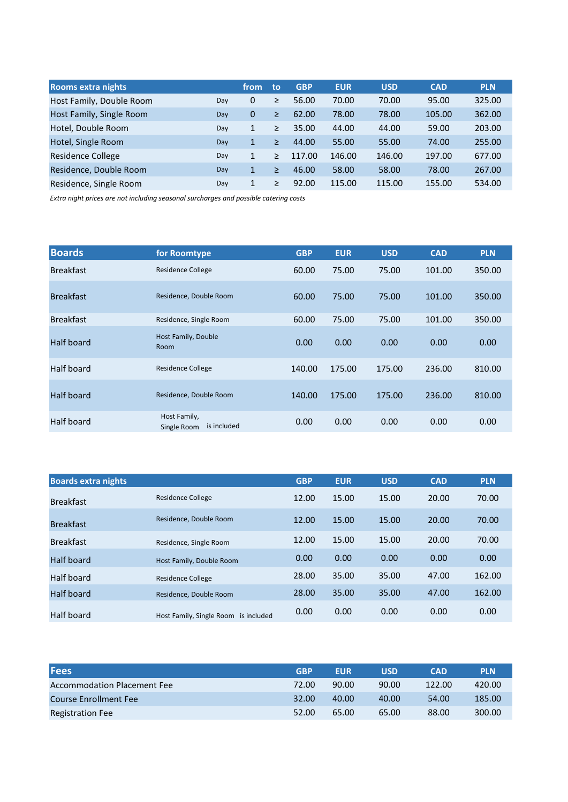| <b>Rooms extra nights</b> |     | from     | to     | <b>GBP</b> | <b>EUR</b> | <b>USD</b> | <b>CAD</b> | <b>PLN</b> |
|---------------------------|-----|----------|--------|------------|------------|------------|------------|------------|
| Host Family, Double Room  | Day | $\Omega$ | $\geq$ | 56.00      | 70.00      | 70.00      | 95.00      | 325.00     |
| Host Family, Single Room  | Day | $\Omega$ | $\geq$ | 62.00      | 78.00      | 78.00      | 105.00     | 362.00     |
| Hotel, Double Room        | Dav | 1        | $\geq$ | 35.00      | 44.00      | 44.00      | 59.00      | 203.00     |
| Hotel, Single Room        | Day | 1        | $\geq$ | 44.00      | 55.00      | 55.00      | 74.00      | 255.00     |
| Residence College         | Dav | 1        | $\geq$ | 117.00     | 146.00     | 146.00     | 197.00     | 677.00     |
| Residence, Double Room    | Day | 1        | $\geq$ | 46.00      | 58.00      | 58.00      | 78.00      | 267.00     |
| Residence, Single Room    | Day |          | >      | 92.00      | 115.00     | 115.00     | 155.00     | 534.00     |

Extra night prices are not including seasonal surcharges and possible catering costs

| <b>Boards</b>    | for Roomtype                               | <b>GBP</b> | <b>EUR</b> | <b>USD</b> | <b>CAD</b> | <b>PLN</b> |
|------------------|--------------------------------------------|------------|------------|------------|------------|------------|
| <b>Breakfast</b> | <b>Residence College</b>                   | 60.00      | 75.00      | 75.00      | 101.00     | 350.00     |
| <b>Breakfast</b> | Residence, Double Room                     | 60.00      | 75.00      | 75.00      | 101.00     | 350.00     |
| <b>Breakfast</b> | Residence, Single Room                     | 60.00      | 75.00      | 75.00      | 101.00     | 350.00     |
| Half board       | Host Family, Double<br>Room                | 0.00       | 0.00       | 0.00       | 0.00       | 0.00       |
| Half board       | <b>Residence College</b>                   | 140.00     | 175.00     | 175.00     | 236.00     | 810.00     |
| Half board       | Residence, Double Room                     | 140.00     | 175.00     | 175.00     | 236.00     | 810.00     |
| Half board       | Host Family,<br>is included<br>Single Room | 0.00       | 0.00       | 0.00       | 0.00       | 0.00       |

| <b>Boards extra nights</b> |                                         | <b>GBP</b> | <b>EUR</b> | <b>USD</b> | <b>CAD</b> | <b>PLN</b> |
|----------------------------|-----------------------------------------|------------|------------|------------|------------|------------|
| <b>Breakfast</b>           | <b>Residence College</b>                | 12.00      | 15.00      | 15.00      | 20.00      | 70.00      |
| <b>Breakfast</b>           | Residence, Double Room                  | 12.00      | 15.00      | 15.00      | 20.00      | 70.00      |
| <b>Breakfast</b>           | Residence, Single Room                  | 12.00      | 15.00      | 15.00      | 20.00      | 70.00      |
| Half board                 | Host Family, Double Room                | 0.00       | 0.00       | 0.00       | 0.00       | 0.00       |
| Half board                 | <b>Residence College</b>                | 28.00      | 35.00      | 35.00      | 47.00      | 162.00     |
| Half board                 | Residence, Double Room                  | 28.00      | 35.00      | 35.00      | 47.00      | 162.00     |
| Half board                 | Host Family, Single Room<br>is included | 0.00       | 0.00       | 0.00       | 0.00       | 0.00       |

| <b>Fees</b>                        | <b>GBP</b> | <b>EUR</b> | USD   | <b>CAD</b> | <b>PLN</b> |
|------------------------------------|------------|------------|-------|------------|------------|
| <b>Accommodation Placement Fee</b> | 72.00      | 90.00      | 90.00 | 122.00     | 420.00     |
| Course Enrollment Fee              | 32.00      | 40.00      | 40.00 | 54.00      | 185.00     |
| <b>Registration Fee</b>            | 52.00      | 65.00      | 65.00 | 88.00      | 300.00     |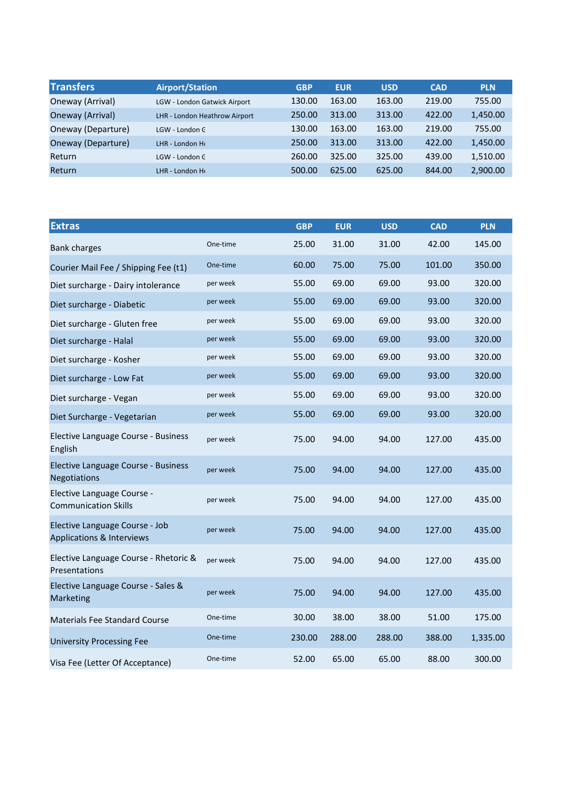| <b>Transfers</b>   | <b>Airport/Station</b>        | <b>GBP</b> | <b>EUR</b> | <b>USD</b> | <b>CAD</b> | <b>PLN</b> |
|--------------------|-------------------------------|------------|------------|------------|------------|------------|
| Oneway (Arrival)   | LGW - London Gatwick Airport  | 130.00     | 163.00     | 163.00     | 219.00     | 755.00     |
| Oneway (Arrival)   | LHR - London Heathrow Airport | 250.00     | 313.00     | 313.00     | 422.00     | 1,450.00   |
| Oneway (Departure) | LGW - London C                | 130.00     | 163.00     | 163.00     | 219.00     | 755.00     |
| Oneway (Departure) | LHR - London He               | 250.00     | 313.00     | 313.00     | 422.00     | 1,450.00   |
| Return             | LGW - London C                | 260.00     | 325.00     | 325.00     | 439.00     | 1,510.00   |
| Return             | LHR - London Hr               | 500.00     | 625.00     | 625.00     | 844.00     | 2,900.00   |

| <b>Extras</b>                                               |          | <b>GBP</b> | <b>EUR</b> | <b>USD</b> | <b>CAD</b> | <b>PLN</b> |
|-------------------------------------------------------------|----------|------------|------------|------------|------------|------------|
| <b>Bank charges</b>                                         | One-time | 25.00      | 31.00      | 31.00      | 42.00      | 145.00     |
| Courier Mail Fee / Shipping Fee (t1)                        | One-time | 60.00      | 75.00      | 75.00      | 101.00     | 350.00     |
| Diet surcharge - Dairy intolerance                          | per week | 55.00      | 69.00      | 69.00      | 93.00      | 320.00     |
| Diet surcharge - Diabetic                                   | per week | 55.00      | 69.00      | 69.00      | 93.00      | 320.00     |
| Diet surcharge - Gluten free                                | per week | 55.00      | 69.00      | 69.00      | 93.00      | 320.00     |
| Diet surcharge - Halal                                      | per week | 55.00      | 69.00      | 69.00      | 93.00      | 320.00     |
| Diet surcharge - Kosher                                     | per week | 55.00      | 69.00      | 69.00      | 93.00      | 320.00     |
| Diet surcharge - Low Fat                                    | per week | 55.00      | 69.00      | 69.00      | 93.00      | 320.00     |
| Diet surcharge - Vegan                                      | per week | 55.00      | 69.00      | 69.00      | 93.00      | 320.00     |
| Diet Surcharge - Vegetarian                                 | per week | 55.00      | 69.00      | 69.00      | 93.00      | 320.00     |
| Elective Language Course - Business<br>English              | per week | 75.00      | 94.00      | 94.00      | 127.00     | 435.00     |
| Elective Language Course - Business<br>Negotiations         | per week | 75.00      | 94.00      | 94.00      | 127.00     | 435.00     |
| Elective Language Course -<br><b>Communication Skills</b>   | per week | 75.00      | 94.00      | 94.00      | 127.00     | 435.00     |
| Elective Language Course - Job<br>Applications & Interviews | per week | 75.00      | 94.00      | 94.00      | 127.00     | 435.00     |
| Elective Language Course - Rhetoric &<br>Presentations      | per week | 75.00      | 94.00      | 94.00      | 127.00     | 435.00     |
| Elective Language Course - Sales &<br>Marketing             | per week | 75.00      | 94.00      | 94.00      | 127.00     | 435.00     |
| <b>Materials Fee Standard Course</b>                        | One-time | 30.00      | 38.00      | 38.00      | 51.00      | 175.00     |
| <b>University Processing Fee</b>                            | One-time | 230.00     | 288.00     | 288.00     | 388.00     | 1,335.00   |
| Visa Fee (Letter Of Acceptance)                             | One-time | 52.00      | 65.00      | 65.00      | 88.00      | 300.00     |